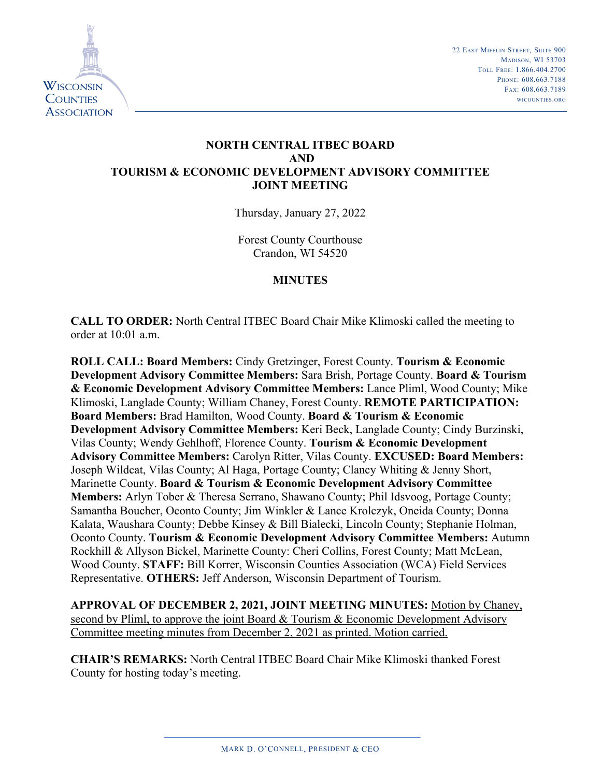

22 EAST MIFFLIN STREET, SUITE 900 MADISON, WI 53703 toll frEE: 1.866.404.2700 PHONE: 608.663.7188 fax: 608.663.7189 WicountiEs.org

# **NORTH CENTRAL ITBEC BOARD AND TOURISM & ECONOMIC DEVELOPMENT ADVISORY COMMITTEE JOINT MEETING**

Thursday, January 27, 2022

Forest County Courthouse Crandon, WI 54520

## **MINUTES**

**CALL TO ORDER:** North Central ITBEC Board Chair Mike Klimoski called the meeting to order at 10:01 a.m.

**ROLL CALL: Board Members:** Cindy Gretzinger, Forest County. **Tourism & Economic Development Advisory Committee Members:** Sara Brish, Portage County. **Board & Tourism & Economic Development Advisory Committee Members:** Lance Pliml, Wood County; Mike Klimoski, Langlade County; William Chaney, Forest County. **REMOTE PARTICIPATION: Board Members:** Brad Hamilton, Wood County. **Board & Tourism & Economic Development Advisory Committee Members:** Keri Beck, Langlade County; Cindy Burzinski, Vilas County; Wendy Gehlhoff, Florence County. **Tourism & Economic Development Advisory Committee Members:** Carolyn Ritter, Vilas County. **EXCUSED: Board Members:**  Joseph Wildcat, Vilas County; Al Haga, Portage County; Clancy Whiting & Jenny Short, Marinette County. **Board & Tourism & Economic Development Advisory Committee Members:** Arlyn Tober & Theresa Serrano, Shawano County; Phil Idsvoog, Portage County; Samantha Boucher, Oconto County; Jim Winkler & Lance Krolczyk, Oneida County; Donna Kalata, Waushara County; Debbe Kinsey & Bill Bialecki, Lincoln County; Stephanie Holman, Oconto County. **Tourism & Economic Development Advisory Committee Members:** Autumn Rockhill & Allyson Bickel, Marinette County: Cheri Collins, Forest County; Matt McLean, Wood County. **STAFF:** Bill Korrer, Wisconsin Counties Association (WCA) Field Services Representative. **OTHERS:** Jeff Anderson, Wisconsin Department of Tourism.

**APPROVAL OF DECEMBER 2, 2021, JOINT MEETING MINUTES:** Motion by Chaney, second by Pliml, to approve the joint Board & Tourism & Economic Development Advisory Committee meeting minutes from December 2, 2021 as printed. Motion carried.

**CHAIR'S REMARKS:** North Central ITBEC Board Chair Mike Klimoski thanked Forest County for hosting today's meeting.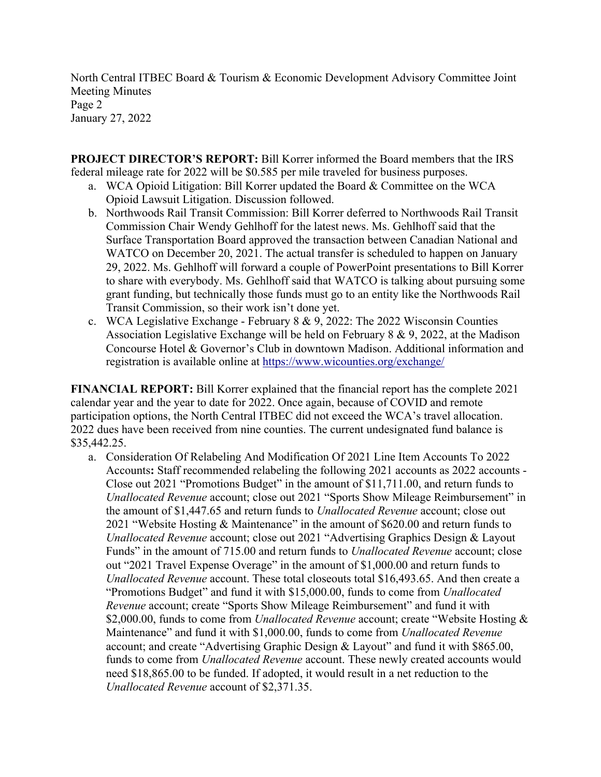North Central ITBEC Board & Tourism & Economic Development Advisory Committee Joint Meeting Minutes Page 2 January 27, 2022

**PROJECT DIRECTOR'S REPORT:** Bill Korrer informed the Board members that the IRS federal mileage rate for 2022 will be \$0.585 per mile traveled for business purposes.

- a. WCA Opioid Litigation: Bill Korrer updated the Board & Committee on the WCA Opioid Lawsuit Litigation. Discussion followed.
- b. Northwoods Rail Transit Commission: Bill Korrer deferred to Northwoods Rail Transit Commission Chair Wendy Gehlhoff for the latest news. Ms. Gehlhoff said that the Surface Transportation Board approved the transaction between Canadian National and WATCO on December 20, 2021. The actual transfer is scheduled to happen on January 29, 2022. Ms. Gehlhoff will forward a couple of PowerPoint presentations to Bill Korrer to share with everybody. Ms. Gehlhoff said that WATCO is talking about pursuing some grant funding, but technically those funds must go to an entity like the Northwoods Rail Transit Commission, so their work isn't done yet.
- c. WCA Legislative Exchange February  $8 \& 9, 2022$ : The 2022 Wisconsin Counties Association Legislative Exchange will be held on February 8 & 9, 2022, at the Madison Concourse Hotel & Governor's Club in downtown Madison. Additional information and registration is available online at https://www.wicounties.org/exchange/

**FINANCIAL REPORT:** Bill Korrer explained that the financial report has the complete 2021 calendar year and the year to date for 2022. Once again, because of COVID and remote participation options, the North Central ITBEC did not exceed the WCA's travel allocation. 2022 dues have been received from nine counties. The current undesignated fund balance is \$35,442.25.

a. Consideration Of Relabeling And Modification Of 2021 Line Item Accounts To 2022 Accounts**:** Staff recommended relabeling the following 2021 accounts as 2022 accounts - Close out 2021 "Promotions Budget" in the amount of \$11,711.00, and return funds to *Unallocated Revenue* account; close out 2021 "Sports Show Mileage Reimbursement" in the amount of \$1,447.65 and return funds to *Unallocated Revenue* account; close out 2021 "Website Hosting & Maintenance" in the amount of \$620.00 and return funds to *Unallocated Revenue* account; close out 2021 "Advertising Graphics Design & Layout Funds" in the amount of 715.00 and return funds to *Unallocated Revenue* account; close out "2021 Travel Expense Overage" in the amount of \$1,000.00 and return funds to *Unallocated Revenue* account. These total closeouts total \$16,493.65. And then create a "Promotions Budget" and fund it with \$15,000.00, funds to come from *Unallocated Revenue* account; create "Sports Show Mileage Reimbursement" and fund it with \$2,000.00, funds to come from *Unallocated Revenue* account; create "Website Hosting & Maintenance" and fund it with \$1,000.00, funds to come from *Unallocated Revenue*  account; and create "Advertising Graphic Design & Layout" and fund it with \$865.00, funds to come from *Unallocated Revenue* account. These newly created accounts would need \$18,865.00 to be funded. If adopted, it would result in a net reduction to the *Unallocated Revenue* account of \$2,371.35.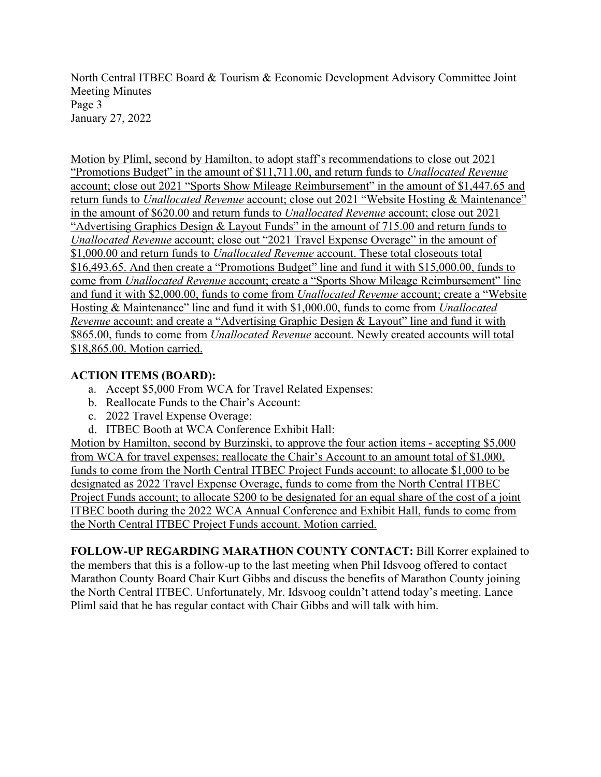North Central ITBEC Board & Tourism & Economic Development Advisory Committee Joint Meeting Minutes Page 3 January 27, 2022

Motion by Pliml, second by Hamilton, to adopt staff's recommendations to close out 2021 "Promotions Budget" in the amount of \$11,711.00, and return funds to *Unallocated Revenue* account; close out 2021 "Sports Show Mileage Reimbursement" in the amount of \$1,447.65 and return funds to *Unallocated Revenue* account; close out 2021 "Website Hosting & Maintenance" in the amount of \$620.00 and return funds to *Unallocated Revenue* account; close out 2021 "Advertising Graphics Design & Layout Funds" in the amount of 715.00 and return funds to *Unallocated Revenue* account; close out "2021 Travel Expense Overage" in the amount of \$1,000.00 and return funds to *Unallocated Revenue* account. These total closeouts total \$16,493.65. And then create a "Promotions Budget" line and fund it with \$15,000.00, funds to come from *Unallocated Revenue* account; create a "Sports Show Mileage Reimbursement" line and fund it with \$2,000.00, funds to come from *Unallocated Revenue* account; create a "Website Hosting & Maintenance" line and fund it with \$1,000.00, funds to come from *Unallocated Revenue* account; and create a "Advertising Graphic Design & Layout" line and fund it with \$865.00, funds to come from *Unallocated Revenue* account. Newly created accounts will total \$18,865.00. Motion carried.

#### **ACTION ITEMS (BOARD):**

- a. Accept \$5,000 From WCA for Travel Related Expenses:
- b. Reallocate Funds to the Chair's Account:
- c. 2022 Travel Expense Overage:
- d. ITBEC Booth at WCA Conference Exhibit Hall:

Motion by Hamilton, second by Burzinski, to approve the four action items - accepting \$5,000 from WCA for travel expenses; reallocate the Chair's Account to an amount total of \$1,000, funds to come from the North Central ITBEC Project Funds account; to allocate \$1,000 to be designated as 2022 Travel Expense Overage, funds to come from the North Central ITBEC Project Funds account; to allocate \$200 to be designated for an equal share of the cost of a joint ITBEC booth during the 2022 WCA Annual Conference and Exhibit Hall, funds to come from the North Central ITBEC Project Funds account. Motion carried.

**FOLLOW-UP REGARDING MARATHON COUNTY CONTACT:** Bill Korrer explained to the members that this is a follow-up to the last meeting when Phil Idsvoog offered to contact Marathon County Board Chair Kurt Gibbs and discuss the benefits of Marathon County joining the North Central ITBEC. Unfortunately, Mr. Idsvoog couldn't attend today's meeting. Lance Pliml said that he has regular contact with Chair Gibbs and will talk with him.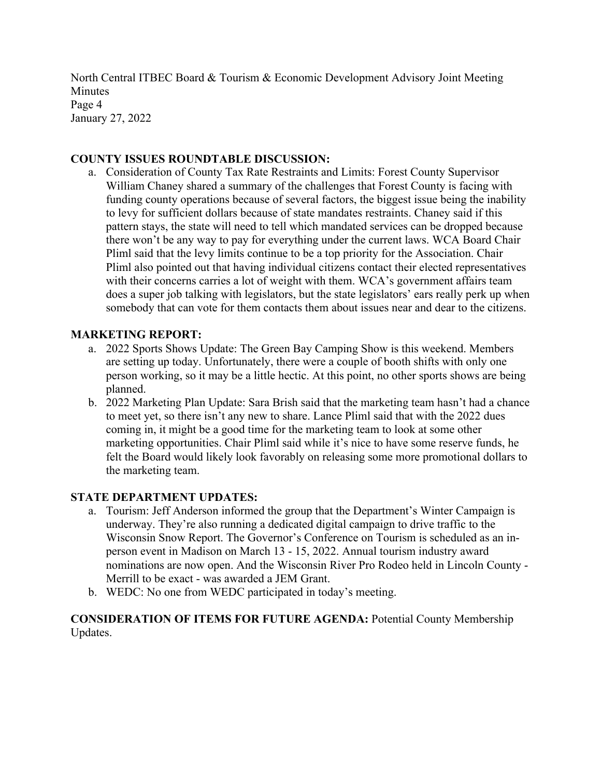North Central ITBEC Board & Tourism & Economic Development Advisory Joint Meeting Minutes Page 4 January 27, 2022

## **COUNTY ISSUES ROUNDTABLE DISCUSSION:**

a. Consideration of County Tax Rate Restraints and Limits: Forest County Supervisor William Chaney shared a summary of the challenges that Forest County is facing with funding county operations because of several factors, the biggest issue being the inability to levy for sufficient dollars because of state mandates restraints. Chaney said if this pattern stays, the state will need to tell which mandated services can be dropped because there won't be any way to pay for everything under the current laws. WCA Board Chair Pliml said that the levy limits continue to be a top priority for the Association. Chair Pliml also pointed out that having individual citizens contact their elected representatives with their concerns carries a lot of weight with them. WCA's government affairs team does a super job talking with legislators, but the state legislators' ears really perk up when somebody that can vote for them contacts them about issues near and dear to the citizens.

# **MARKETING REPORT:**

- a. 2022 Sports Shows Update: The Green Bay Camping Show is this weekend. Members are setting up today. Unfortunately, there were a couple of booth shifts with only one person working, so it may be a little hectic. At this point, no other sports shows are being planned.
- b. 2022 Marketing Plan Update: Sara Brish said that the marketing team hasn't had a chance to meet yet, so there isn't any new to share. Lance Pliml said that with the 2022 dues coming in, it might be a good time for the marketing team to look at some other marketing opportunities. Chair Pliml said while it's nice to have some reserve funds, he felt the Board would likely look favorably on releasing some more promotional dollars to the marketing team.

## **STATE DEPARTMENT UPDATES:**

- a. Tourism: Jeff Anderson informed the group that the Department's Winter Campaign is underway. They're also running a dedicated digital campaign to drive traffic to the Wisconsin Snow Report. The Governor's Conference on Tourism is scheduled as an inperson event in Madison on March 13 - 15, 2022. Annual tourism industry award nominations are now open. And the Wisconsin River Pro Rodeo held in Lincoln County - Merrill to be exact - was awarded a JEM Grant.
- b. WEDC: No one from WEDC participated in today's meeting.

**CONSIDERATION OF ITEMS FOR FUTURE AGENDA:** Potential County Membership Updates.